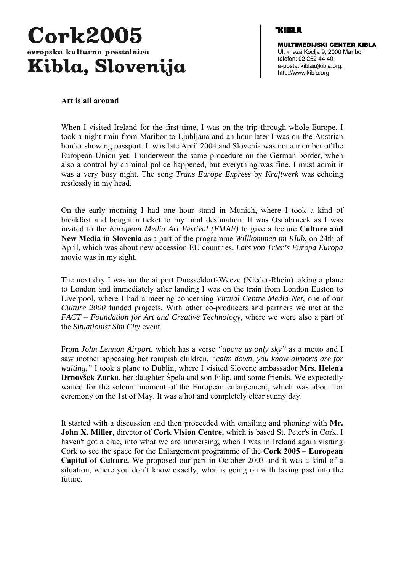

**MULTIMEDIJSKI CENTER KIBLA.** Ul. kneza Koclja 9, 2000 Maribor telefon: 02 252 44 40, e-pošta: kibla@kibla.org, http://www.kibla.org

### **Art is all around**

When I visited Ireland for the first time, I was on the trip through whole Europe. I took a night train from Maribor to Ljubljana and an hour later I was on the Austrian border showing passport. It was late April 2004 and Slovenia was not a member of the European Union yet. I underwent the same procedure on the German border, when also a control by criminal police happened, but everything was fine. I must admit it was a very busy night. The song *Trans Europe Express* by *Kraftwerk* was echoing restlessly in my head.

On the early morning I had one hour stand in Munich, where I took a kind of breakfast and bought a ticket to my final destination. It was Osnabrueck as I was invited to the *European Media Art Festival (EMAF)* to give a lecture **Culture and New Media in Slovenia** as a part of the programme *Willkommen im Klub*, on 24th of April, which was about new accession EU countries. *Lars von Trier's Europa Europa* movie was in my sight.

The next day I was on the airport Duesseldorf-Weeze (Nieder-Rhein) taking a plane to London and immediately after landing I was on the train from London Euston to Liverpool, where I had a meeting concerning *Virtual Centre Media Net*, one of our *Culture 2000* funded projects. With other co-producers and partners we met at the *FACT – Foundation for Art and Creative Technology,* where we were also a part of the *Situationist Sim City* event.

From *John Lennon Airport*, which has a verse *"above us only sky"* as a motto and I saw mother appeasing her rompish children, *"calm down, you know airports are for waiting,"* I took a plane to Dublin, where I visited Slovene ambassador **Mrs. Helena Drnovšek Zorko**, her daughter Špela and son Filip, and some friends. We expectedly waited for the solemn moment of the European enlargement, which was about for ceremony on the 1st of May. It was a hot and completely clear sunny day.

It started with a discussion and then proceeded with emailing and phoning with **Mr. John X. Miller**, director of **Cork Vision Centre**, which is based St. Peter's in Cork. I haven't got a clue, into what we are immersing, when I was in Ireland again visiting Cork to see the space for the Enlargement programme of the **Cork 2005 – European Capital of Culture.** We proposed our part in October 2003 and it was a kind of a situation, where you don't know exactly, what is going on with taking past into the future.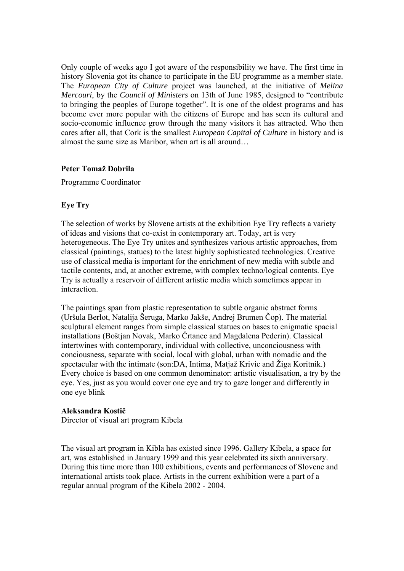Only couple of weeks ago I got aware of the responsibility we have. The first time in history Slovenia got its chance to participate in the EU programme as a member state. The *European City of Culture* project was launched, at the initiative of *Melina Mercouri*, by the *Council of Ministers* on 13th of June 1985, designed to "contribute to bringing the peoples of Europe together". It is one of the oldest programs and has become ever more popular with the citizens of Europe and has seen its cultural and socio-economic influence grow through the many visitors it has attracted. Who then cares after all, that Cork is the smallest *European Capital of Culture* in history and is almost the same size as Maribor, when art is all around…

## **Peter Tomaž Dobrila**

Programme Coordinator

## **Eye Try**

The selection of works by Slovene artists at the exhibition Eye Try reflects a variety of ideas and visions that co-exist in contemporary art. Today, art is very heterogeneous. The Eye Try unites and synthesizes various artistic approaches, from classical (paintings, statues) to the latest highly sophisticated technologies. Creative use of classical media is important for the enrichment of new media with subtle and tactile contents, and, at another extreme, with complex techno/logical contents. Eye Try is actually a reservoir of different artistic media which sometimes appear in interaction.

The paintings span from plastic representation to subtle organic abstract forms (Uršula Berlot, Natalija Šeruga, Marko Jakše, Andrej Brumen Čop). The material sculptural element ranges from simple classical statues on bases to enigmatic spacial installations (Boštjan Novak, Marko Črtanec and Magdalena Pederin). Classical intertwines with contemporary, individual with collective, unconciousness with conciousness, separate with social, local with global, urban with nomadic and the spectacular with the intimate (son:DA, Intima, Matjaž Krivic and Žiga Koritnik.) Every choice is based on one common denominator: artistic visualisation, a try by the eye. Yes, just as you would cover one eye and try to gaze longer and differently in one eye blink

### **Aleksandra Kostič**

Director of visual art program Kibela

The visual art program in Kibla has existed since 1996. Gallery Kibela, a space for art, was established in January 1999 and this year celebrated its sixth anniversary. During this time more than 100 exhibitions, events and performances of Slovene and international artists took place. Artists in the current exhibition were a part of a regular annual program of the Kibela 2002 - 2004.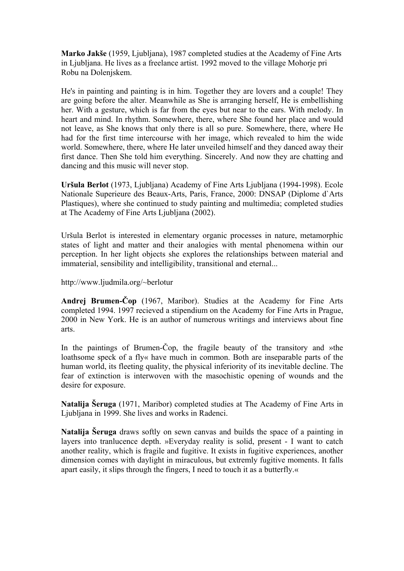**Marko Jakše** (1959, Ljubljana), 1987 completed studies at the Academy of Fine Arts in Ljubljana. He lives as a freelance artist. 1992 moved to the village Mohorje pri Robu na Dolenjskem.

He's in painting and painting is in him. Together they are lovers and a couple! They are going before the alter. Meanwhile as She is arranging herself, He is embellishing her. With a gesture, which is far from the eyes but near to the ears. With melody. In heart and mind. In rhythm. Somewhere, there, where She found her place and would not leave, as She knows that only there is all so pure. Somewhere, there, where He had for the first time intercourse with her image, which revealed to him the wide world. Somewhere, there, where He later unveiled himself and they danced away their first dance. Then She told him everything. Sincerely. And now they are chatting and dancing and this music will never stop.

**Uršula Berlot** (1973, Ljubljana) Academy of Fine Arts Ljubljana (1994-1998). Ecole Nationale Superieure des Beaux-Arts, Paris, France, 2000: DNSAP (Diplome d`Arts Plastiques), where she continued to study painting and multimedia; completed studies at The Academy of Fine Arts Ljubljana (2002).

Uršula Berlot is interested in elementary organic processes in nature, metamorphic states of light and matter and their analogies with mental phenomena within our perception. In her light objects she explores the relationships between material and immaterial, sensibility and intelligibility, transitional and eternal...

http://[www.ljudmila.org/~berlotur](http://www.ljudmila.org/%7Eberlotur/) 

**Andrej Brumen-Čop** (1967, Maribor). Studies at the Academy for Fine Arts completed 1994. 1997 recieved a stipendium on the Academy for Fine Arts in Prague, 2000 in New York. He is an author of numerous writings and interviews about fine arts.

In the paintings of Brumen-Cop, the fragile beauty of the transitory and »the loathsome speck of a fly« have much in common. Both are inseparable parts of the human world, its fleeting quality, the physical inferiority of its inevitable decline. The fear of extinction is interwoven with the masochistic opening of wounds and the desire for exposure.

**Natalija Šeruga** (1971, Maribor) completed studies at The Academy of Fine Arts in Ljubljana in 1999. She lives and works in Radenci.

**Natalija Šeruga** draws softly on sewn canvas and builds the space of a painting in layers into tranlucence depth. »Everyday reality is solid, present - I want to catch another reality, which is fragile and fugitive. It exists in fugitive experiences, another dimension comes with daylight in miraculous, but extremly fugitive moments. It falls apart easily, it slips through the fingers, I need to touch it as a butterfly.«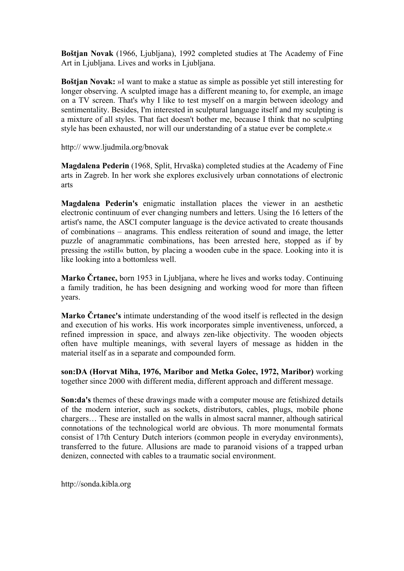**Boštjan Novak** (1966, Ljubljana), 1992 completed studies at The Academy of Fine Art in Ljubljana. Lives and works in Ljubljana.

**Boštjan Novak:** »I want to make a statue as simple as possible yet still interesting for longer observing. A sculpted image has a different meaning to, for exemple, an image on a TV screen. That's why I like to test myself on a margin between ideology and sentimentality. Besides, I'm interested in sculptural language itself and my sculpting is a mixture of all styles. That fact doesn't bother me, because I think that no sculpting style has been exhausted, nor will our understanding of a statue ever be complete.«

http:// www.ljudmila.org/bnovak

**Magdalena Pederin** (1968, Split, Hrvaška) completed studies at the Academy of Fine arts in Zagreb. In her work she explores exclusively urban connotations of electronic arts

**Magdalena Pederin's** enigmatic installation places the viewer in an aesthetic electronic continuum of ever changing numbers and letters. Using the 16 letters of the artist's name, the ASCI computer language is the device activated to create thousands of combinations – anagrams. This endless reiteration of sound and image, the letter puzzle of anagrammatic combinations, has been arrested here, stopped as if by pressing the »still« button, by placing a wooden cube in the space. Looking into it is like looking into a bottomless well.

**Marko Črtanec,** born 1953 in Ljubljana, where he lives and works today. Continuing a family tradition, he has been designing and working wood for more than fifteen years.

**Marko Črtanec's** intimate understanding of the wood itself is reflected in the design and execution of his works. His work incorporates simple inventiveness, unforced, a refined impression in space, and always zen-like objectivity. The wooden objects often have multiple meanings, with several layers of message as hidden in the material itself as in a separate and compounded form.

**son:DA (Horvat Miha, 1976, Maribor and Metka Golec, 1972, Maribor)** working together since 2000 with different media, different approach and different message.

**Son:da's** themes of these drawings made with a computer mouse are fetishized details of the modern interior, such as sockets, distributors, cables, plugs, mobile phone chargers… These are installed on the walls in almost sacral manner, although satirical connotations of the technological world are obvious. Th more monumental formats consist of 17th Century Dutch interiors (common people in everyday environments), transferred to the future. Allusions are made to paranoid visions of a trapped urban denizen, connected with cables to a traumatic social environment.

http://sonda.kibla.org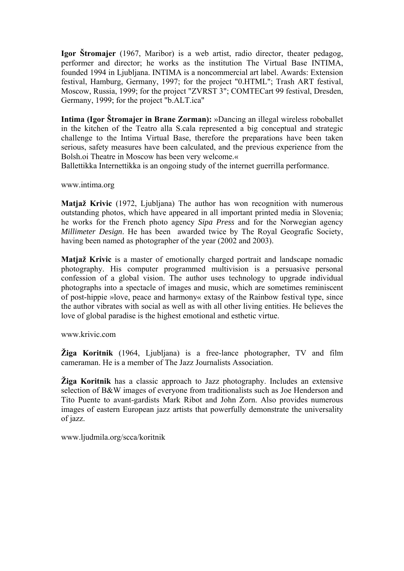**Igor Štromajer** (1967, Maribor) is a web artist, radio director, theater pedagog, performer and director; he works as the institution The Virtual Base INTIMA, founded 1994 in Ljubljana. INTIMA is a noncommercial art label. Awards: Extension festival, Hamburg, Germany, 1997; for the project "0.HTML"; Trash ART festival, Moscow, Russia, 1999; for the project "ZVRST 3"; COMTECart 99 festival, Dresden, Germany, 1999; for the project "b.ALT.ica"

**Intima (Igor Štromajer in Brane Zorman):** »Dancing an illegal wireless roboballet in the kitchen of the Teatro alla S.cala represented a big conceptual and strategic challenge to the Intima Virtual Base, therefore the preparations have been taken serious, safety measures have been calculated, and the previous experience from the Bolsh.oi Theatre in Moscow has been very welcome.«

Ballettikka Internettikka is an ongoing study of the internet guerrilla performance.

[www.intima.org](http://www.intima.org/) 

**Matjaž Krivic** (1972, Ljubljana) The author has won recognition with numerous outstanding photos, which have appeared in all important printed media in Slovenia; he works for the French photo agency *Sipa Press* and for the Norwegian agency *Millimeter Design*. He has been awarded twice by The Royal Geografic Society, having been named as photographer of the year (2002 and 2003).

**Matjaž Krivic** is a master of emotionally charged portrait and landscape nomadic photography. His computer programmed multivision is a persuasive personal confession of a global vision. The author uses technology to upgrade individual photographs into a spectacle of images and music, which are sometimes reminiscent of post-hippie »love, peace and harmony« extasy of the Rainbow festival type, since the author vibrates with social as well as with all other living entities. He believes the love of global paradise is the highest emotional and esthetic virtue.

[www.krivic.com](http://www.krivic.com/) 

**Žiga Koritnik** (1964, Ljubljana) is a free-lance photographer, TV and film cameraman. He is a member of The Jazz Journalists Association.

**Žiga Koritnik** has a classic approach to Jazz photography. Includes an extensive selection of B&W images of everyone from traditionalists such as Joe Henderson and Tito Puente to avant-gardists Mark Ribot and John Zorn. Also provides numerous images of eastern European jazz artists that powerfully demonstrate the universality of jazz.

[www.ljudmila.org/scca/koritnik](http://www.ljudmila.org/scca/koritnik/)